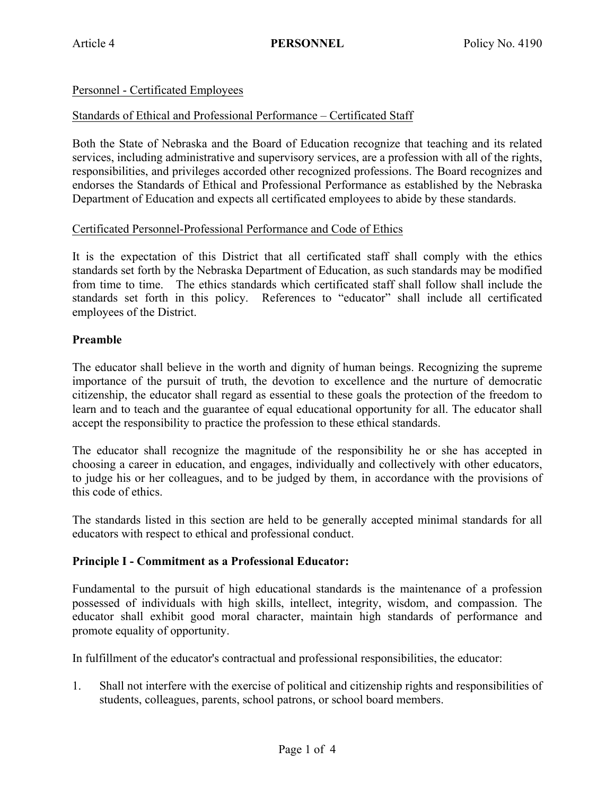# Personnel - Certificated Employees

#### Standards of Ethical and Professional Performance – Certificated Staff

Both the State of Nebraska and the Board of Education recognize that teaching and its related services, including administrative and supervisory services, are a profession with all of the rights, responsibilities, and privileges accorded other recognized professions. The Board recognizes and endorses the Standards of Ethical and Professional Performance as established by the Nebraska Department of Education and expects all certificated employees to abide by these standards.

#### Certificated Personnel-Professional Performance and Code of Ethics

It is the expectation of this District that all certificated staff shall comply with the ethics standards set forth by the Nebraska Department of Education, as such standards may be modified from time to time. The ethics standards which certificated staff shall follow shall include the standards set forth in this policy. References to "educator" shall include all certificated employees of the District.

#### **Preamble**

The educator shall believe in the worth and dignity of human beings. Recognizing the supreme importance of the pursuit of truth, the devotion to excellence and the nurture of democratic citizenship, the educator shall regard as essential to these goals the protection of the freedom to learn and to teach and the guarantee of equal educational opportunity for all. The educator shall accept the responsibility to practice the profession to these ethical standards.

The educator shall recognize the magnitude of the responsibility he or she has accepted in choosing a career in education, and engages, individually and collectively with other educators, to judge his or her colleagues, and to be judged by them, in accordance with the provisions of this code of ethics.

The standards listed in this section are held to be generally accepted minimal standards for all educators with respect to ethical and professional conduct.

#### **Principle I - Commitment as a Professional Educator:**

Fundamental to the pursuit of high educational standards is the maintenance of a profession possessed of individuals with high skills, intellect, integrity, wisdom, and compassion. The educator shall exhibit good moral character, maintain high standards of performance and promote equality of opportunity.

In fulfillment of the educator's contractual and professional responsibilities, the educator:

1. Shall not interfere with the exercise of political and citizenship rights and responsibilities of students, colleagues, parents, school patrons, or school board members.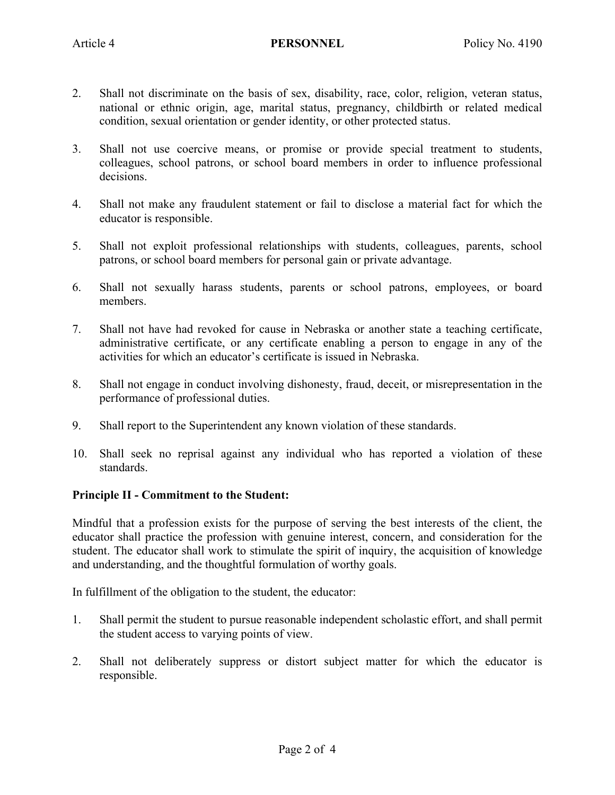- 2. Shall not discriminate on the basis of sex, disability, race, color, religion, veteran status, national or ethnic origin, age, marital status, pregnancy, childbirth or related medical condition, sexual orientation or gender identity, or other protected status.
- 3. Shall not use coercive means, or promise or provide special treatment to students, colleagues, school patrons, or school board members in order to influence professional decisions.
- 4. Shall not make any fraudulent statement or fail to disclose a material fact for which the educator is responsible.
- 5. Shall not exploit professional relationships with students, colleagues, parents, school patrons, or school board members for personal gain or private advantage.
- 6. Shall not sexually harass students, parents or school patrons, employees, or board members.
- 7. Shall not have had revoked for cause in Nebraska or another state a teaching certificate, administrative certificate, or any certificate enabling a person to engage in any of the activities for which an educator's certificate is issued in Nebraska.
- 8. Shall not engage in conduct involving dishonesty, fraud, deceit, or misrepresentation in the performance of professional duties.
- 9. Shall report to the Superintendent any known violation of these standards.
- 10. Shall seek no reprisal against any individual who has reported a violation of these standards.

# **Principle II - Commitment to the Student:**

Mindful that a profession exists for the purpose of serving the best interests of the client, the educator shall practice the profession with genuine interest, concern, and consideration for the student. The educator shall work to stimulate the spirit of inquiry, the acquisition of knowledge and understanding, and the thoughtful formulation of worthy goals.

In fulfillment of the obligation to the student, the educator:

- 1. Shall permit the student to pursue reasonable independent scholastic effort, and shall permit the student access to varying points of view.
- 2. Shall not deliberately suppress or distort subject matter for which the educator is responsible.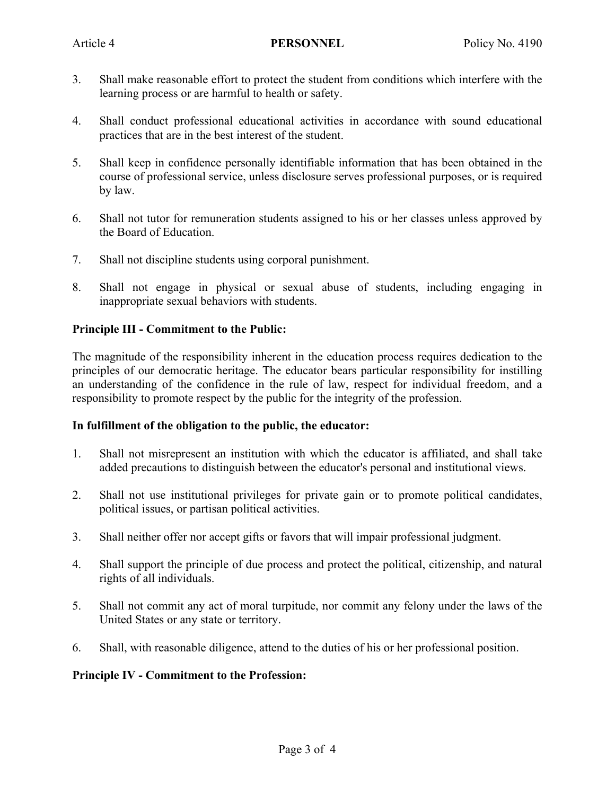- 3. Shall make reasonable effort to protect the student from conditions which interfere with the learning process or are harmful to health or safety.
- 4. Shall conduct professional educational activities in accordance with sound educational practices that are in the best interest of the student.
- 5. Shall keep in confidence personally identifiable information that has been obtained in the course of professional service, unless disclosure serves professional purposes, or is required by law.
- 6. Shall not tutor for remuneration students assigned to his or her classes unless approved by the Board of Education.
- 7. Shall not discipline students using corporal punishment.
- 8. Shall not engage in physical or sexual abuse of students, including engaging in inappropriate sexual behaviors with students.

# **Principle III - Commitment to the Public:**

The magnitude of the responsibility inherent in the education process requires dedication to the principles of our democratic heritage. The educator bears particular responsibility for instilling an understanding of the confidence in the rule of law, respect for individual freedom, and a responsibility to promote respect by the public for the integrity of the profession.

# **In fulfillment of the obligation to the public, the educator:**

- 1. Shall not misrepresent an institution with which the educator is affiliated, and shall take added precautions to distinguish between the educator's personal and institutional views.
- 2. Shall not use institutional privileges for private gain or to promote political candidates, political issues, or partisan political activities.
- 3. Shall neither offer nor accept gifts or favors that will impair professional judgment.
- 4. Shall support the principle of due process and protect the political, citizenship, and natural rights of all individuals.
- 5. Shall not commit any act of moral turpitude, nor commit any felony under the laws of the United States or any state or territory.
- 6. Shall, with reasonable diligence, attend to the duties of his or her professional position.

# **Principle IV - Commitment to the Profession:**